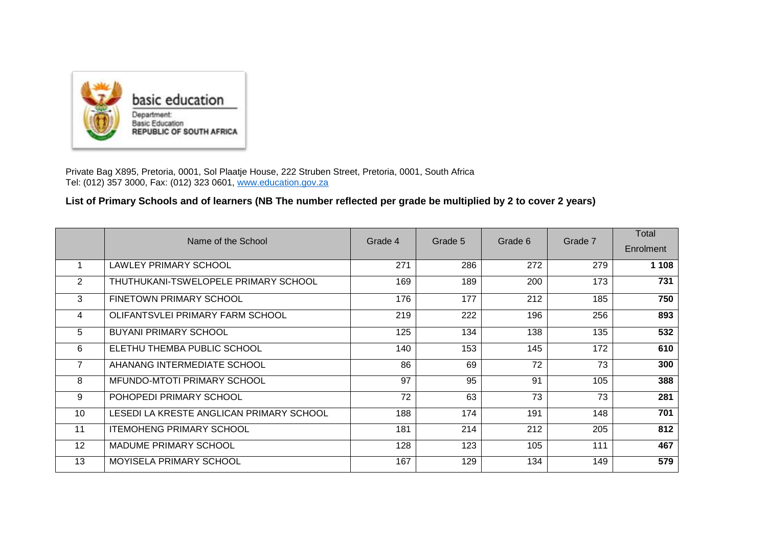

Private Bag X895, Pretoria, 0001, Sol Plaatje House, 222 Struben Street, Pretoria, 0001, South Africa Tel: (012) 357 3000, Fax: (012) 323 0601, [www.education.gov.za](http://www.education.gov.za/)

## **List of Primary Schools and of learners (NB The number reflected per grade be multiplied by 2 to cover 2 years)**

|    | Name of the School                       | Grade 4 | Grade 5 | Grade 6 | Grade 7 | Total<br>Enrolment |
|----|------------------------------------------|---------|---------|---------|---------|--------------------|
|    | LAWLEY PRIMARY SCHOOL                    | 271     | 286     | 272     | 279     | 1 1 0 8            |
|    |                                          |         |         |         |         |                    |
| 2  | THUTHUKANI-TSWELOPELE PRIMARY SCHOOL     | 169     | 189     | 200     | 173     | 731                |
| 3  | FINETOWN PRIMARY SCHOOL                  | 176     | 177     | 212     | 185     | 750                |
| 4  | OLIFANTSVLEI PRIMARY FARM SCHOOL         | 219     | 222     | 196     | 256     | 893                |
| 5  | <b>BUYANI PRIMARY SCHOOL</b>             | 125     | 134     | 138     | 135     | 532                |
| 6  | ELETHU THEMBA PUBLIC SCHOOL              | 140     | 153     | 145     | 172     | 610                |
| 7  | AHANANG INTERMEDIATE SCHOOL              | 86      | 69      | 72      | 73      | 300                |
| 8  | <b>MFUNDO-MTOTI PRIMARY SCHOOL</b>       | 97      | 95      | 91      | 105     | 388                |
| 9  | POHOPEDI PRIMARY SCHOOL                  | 72      | 63      | 73      | 73      | 281                |
| 10 | LESEDI LA KRESTE ANGLICAN PRIMARY SCHOOL | 188     | 174     | 191     | 148     | 701                |
| 11 | <b>ITEMOHENG PRIMARY SCHOOL</b>          | 181     | 214     | 212     | 205     | 812                |
| 12 | <b>MADUME PRIMARY SCHOOL</b>             | 128     | 123     | 105     | 111     | 467                |
| 13 | MOYISELA PRIMARY SCHOOL                  | 167     | 129     | 134     | 149     | 579                |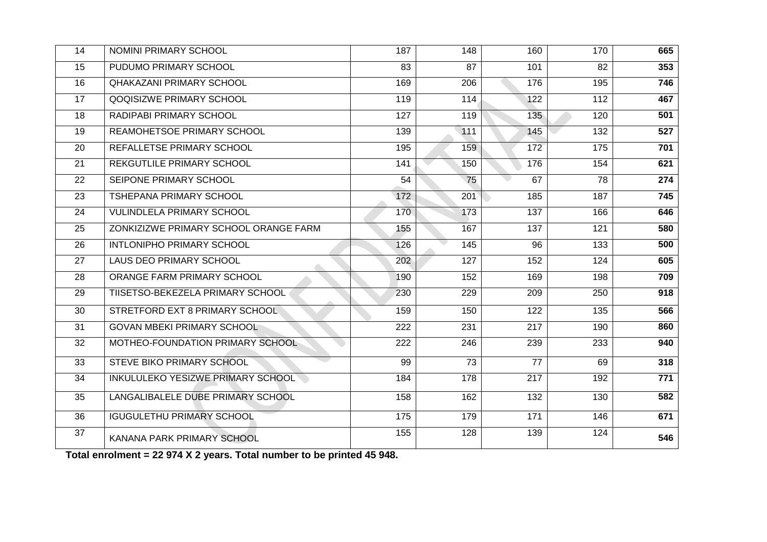| 14 | NOMINI PRIMARY SCHOOL                 | 187 | 148             | 160             | 170              | 665 |
|----|---------------------------------------|-----|-----------------|-----------------|------------------|-----|
| 15 | PUDUMO PRIMARY SCHOOL                 | 83  | 87              | 101             | 82               | 353 |
| 16 | <b>QHAKAZANI PRIMARY SCHOOL</b>       | 169 | 206             | 176             | 195              | 746 |
| 17 | QOQISIZWE PRIMARY SCHOOL              | 119 | 114             | 122             | 112              | 467 |
| 18 | RADIPABI PRIMARY SCHOOL               | 127 | 119             | 135             | 120              | 501 |
| 19 | REAMOHETSOE PRIMARY SCHOOL            | 139 | 111             | 145             | 132              | 527 |
| 20 | REFALLETSE PRIMARY SCHOOL             | 195 | 159             | 172             | 175              | 701 |
| 21 | <b>REKGUTLILE PRIMARY SCHOOL</b>      | 141 | 150             | 176             | 154              | 621 |
| 22 | SEIPONE PRIMARY SCHOOL                | 54  | 75              | 67              | 78               | 274 |
| 23 | TSHEPANA PRIMARY SCHOOL               | 172 | 201             | 185             | 187              | 745 |
| 24 | <b>VULINDLELA PRIMARY SCHOOL</b>      | 170 | 173             | 137             | 166              | 646 |
| 25 | ZONKIZIZWE PRIMARY SCHOOL ORANGE FARM | 155 | 167             | 137             | 121              | 580 |
| 26 | INTLONIPHO PRIMARY SCHOOL             | 126 | 145             | 96              | 133              | 500 |
| 27 | LAUS DEO PRIMARY SCHOOL               | 202 | 127             | 152             | 124              | 605 |
| 28 | ORANGE FARM PRIMARY SCHOOL            | 190 | 152             | 169             | 198              | 709 |
| 29 | TIISETSO-BEKEZELA PRIMARY SCHOOL      | 230 | 229             | 209             | 250              | 918 |
| 30 | STRETFORD EXT 8 PRIMARY SCHOOL        | 159 | 150             | 122             | 135              | 566 |
| 31 | <b>GOVAN MBEKI PRIMARY SCHOOL</b>     | 222 | 231             | 217             | 190              | 860 |
| 32 | MOTHEO-FOUNDATION PRIMARY SCHOOL      | 222 | 246             | 239             | 233              | 940 |
| 33 | STEVE BIKO PRIMARY SCHOOL             | 99  | $\overline{73}$ | $\overline{77}$ | 69               | 318 |
| 34 | INKULULEKO YESIZWE PRIMARY SCHOOL     | 184 | 178             | 217             | $\overline{192}$ | 771 |
| 35 | LANGALIBALELE DUBE PRIMARY SCHOOL     | 158 | 162             | 132             | 130              | 582 |
| 36 | <b>IGUGULETHU PRIMARY SCHOOL</b>      | 175 | 179             | 171             | 146              | 671 |
| 37 | KANANA PARK PRIMARY SCHOOL            | 155 | 128             | 139             | 124              | 546 |

**Total enrolment = 22 974 X 2 years. Total number to be printed 45 948.**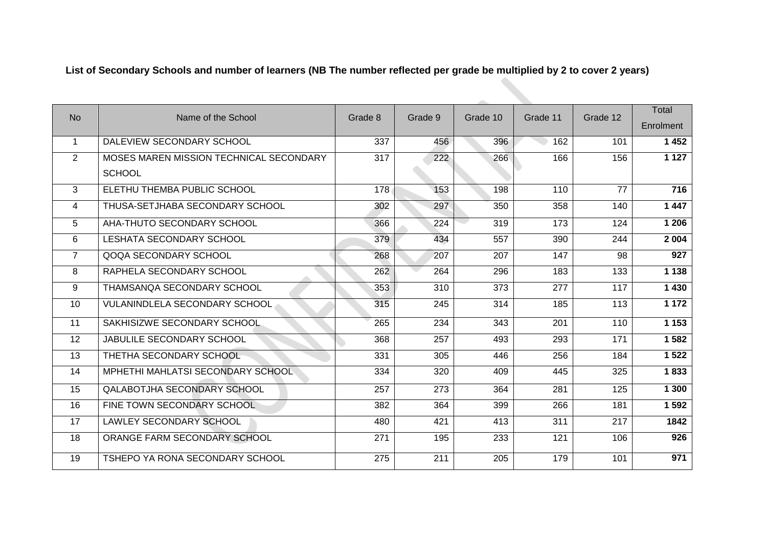## **List of Secondary Schools and number of learners (NB The number reflected per grade be multiplied by 2 to cover 2 years)**

| <b>No</b>      | Name of the School                      |                  | Grade 9 | Grade 10 | Grade 11 | Grade 12        | <b>Total</b>     |
|----------------|-----------------------------------------|------------------|---------|----------|----------|-----------------|------------------|
|                |                                         | Grade 8          |         |          |          |                 | Enrolment        |
| $\mathbf 1$    | DALEVIEW SECONDARY SCHOOL               | 337              | 456     | 396      | 162      | 101             | 1452             |
| 2              | MOSES MAREN MISSION TECHNICAL SECONDARY | 317              | 222     | 266      | 166      | 156             | 1 1 2 7          |
|                | <b>SCHOOL</b>                           |                  |         |          |          |                 |                  |
| 3              | ELETHU THEMBA PUBLIC SCHOOL             | $\overline{178}$ | 153     | 198      | 110      | $\overline{77}$ | $\overline{716}$ |
| 4              | THUSA-SETJHABA SECONDARY SCHOOL         | 302              | 297     | 350      | 358      | 140             | 1447             |
| 5              | AHA-THUTO SECONDARY SCHOOL              | 366              | 224     | 319      | 173      | 124             | 1 206            |
| 6              | <b>LESHATA SECONDARY SCHOOL</b>         | 379              | 434     | 557      | 390      | 244             | 2 0 0 4          |
| $\overline{7}$ | QOQA SECONDARY SCHOOL                   | 268              | 207     | 207      | 147      | 98              | $\overline{927}$ |
| 8              | RAPHELA SECONDARY SCHOOL                | 262              | 264     | 296      | 183      | 133             | 1 1 3 8          |
| 9              | THAMSANQA SECONDARY SCHOOL              | 353              | 310     | 373      | 277      | 117             | 1430             |
| 10             | <b>VULANINDLELA SECONDARY SCHOOL</b>    | 315              | 245     | 314      | 185      | 113             | 1 1 7 2          |
| 11             | SAKHISIZWE SECONDARY SCHOOL             | 265              | 234     | 343      | 201      | 110             | 1 1 5 3          |
| 12             | <b>JABULILE SECONDARY SCHOOL</b>        | 368              | 257     | 493      | 293      | 171             | 1 5 8 2          |
| 13             | THETHA SECONDARY SCHOOL                 | 331              | 305     | 446      | 256      | 184             | 1 5 2 2          |
| 14             | MPHETHI MAHLATSI SECONDARY SCHOOL       | 334              | 320     | 409      | 445      | 325             | 1833             |
| 15             | <b>QALABOTJHA SECONDARY SCHOOL</b>      | 257              | 273     | 364      | 281      | 125             | 1 300            |
| 16             | FINE TOWN SECONDARY SCHOOL              | 382              | 364     | 399      | 266      | 181             | 1 5 9 2          |
| 17             | <b>LAWLEY SECONDARY SCHOOL</b>          | 480              | 421     | 413      | 311      | 217             | 1842             |
| 18             | ORANGE FARM SECONDARY SCHOOL            | 271              | 195     | 233      | 121      | 106             | 926              |
| 19             | TSHEPO YA RONA SECONDARY SCHOOL         | 275              | 211     | 205      | 179      | 101             | 971              |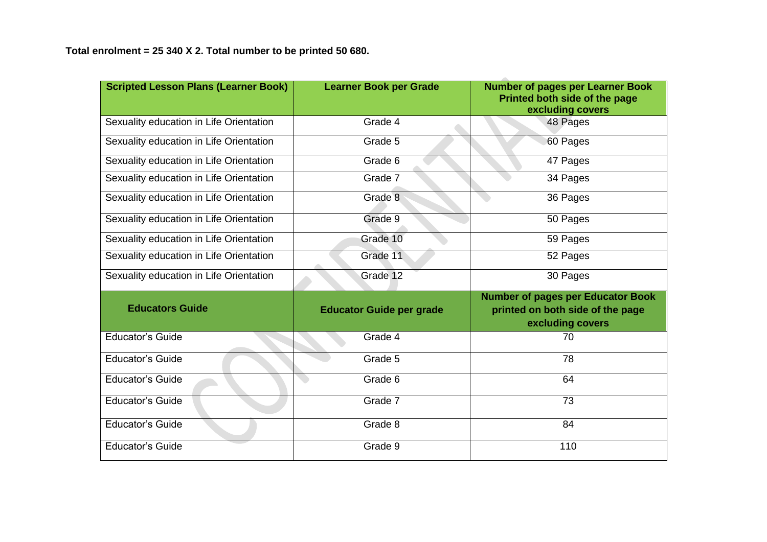| <b>Scripted Lesson Plans (Learner Book)</b> | <b>Learner Book per Grade</b>   | <b>Number of pages per Learner Book</b><br>Printed both side of the page<br>excluding covers     |
|---------------------------------------------|---------------------------------|--------------------------------------------------------------------------------------------------|
| Sexuality education in Life Orientation     | Grade 4                         | 48 Pages                                                                                         |
| Sexuality education in Life Orientation     | Grade 5                         | 60 Pages                                                                                         |
| Sexuality education in Life Orientation     | Grade 6                         | 47 Pages                                                                                         |
| Sexuality education in Life Orientation     | Grade 7                         | 34 Pages                                                                                         |
| Sexuality education in Life Orientation     | Grade 8                         | 36 Pages                                                                                         |
| Sexuality education in Life Orientation     | Grade 9                         | 50 Pages                                                                                         |
| Sexuality education in Life Orientation     | Grade 10                        | 59 Pages                                                                                         |
| Sexuality education in Life Orientation     | Grade 11                        | 52 Pages                                                                                         |
| Sexuality education in Life Orientation     | Grade 12                        | 30 Pages                                                                                         |
| <b>Educators Guide</b>                      | <b>Educator Guide per grade</b> | <b>Number of pages per Educator Book</b><br>printed on both side of the page<br>excluding covers |
| <b>Educator's Guide</b>                     | Grade 4                         | 70                                                                                               |
| <b>Educator's Guide</b>                     | Grade 5                         | 78                                                                                               |
| <b>Educator's Guide</b>                     | Grade 6                         | 64                                                                                               |
| <b>Educator's Guide</b>                     | Grade 7                         | 73                                                                                               |
| <b>Educator's Guide</b>                     | Grade 8                         | 84                                                                                               |
| <b>Educator's Guide</b>                     | Grade 9                         | 110                                                                                              |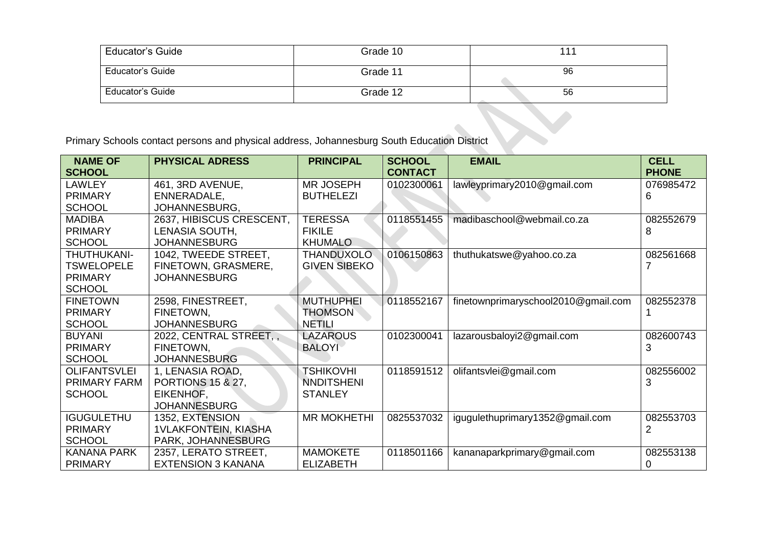| <b>Educator's Guide</b> | Grade 10 | 111 |
|-------------------------|----------|-----|
| Educator's Guide        | Grade 11 | 96  |
| <b>Educator's Guide</b> | Grade 12 | 56  |

Primary Schools contact persons and physical address, Johannesburg South Education District

| <b>NAME OF</b>      | <b>PHYSICAL ADRESS</b>       | <b>PRINCIPAL</b>    | <b>SCHOOL</b>  | <b>EMAIL</b>                        | <b>CELL</b>  |
|---------------------|------------------------------|---------------------|----------------|-------------------------------------|--------------|
| <b>SCHOOL</b>       |                              |                     | <b>CONTACT</b> |                                     | <b>PHONE</b> |
| LAWLEY              | 461, 3RD AVENUE,             | <b>MR JOSEPH</b>    | 0102300061     | lawleyprimary2010@gmail.com         | 076985472    |
| <b>PRIMARY</b>      | ENNERADALE,                  | <b>BUTHELEZI</b>    |                |                                     | 6            |
| <b>SCHOOL</b>       | JOHANNESBURG,                |                     |                |                                     |              |
| <b>MADIBA</b>       | 2637, HIBISCUS CRESCENT,     | <b>TERESSA</b>      | 0118551455     | madibaschool@webmail.co.za          | 082552679    |
| <b>PRIMARY</b>      | LENASIA SOUTH,               | <b>FIKILE</b>       |                |                                     | 8            |
| <b>SCHOOL</b>       | <b>JOHANNESBURG</b>          | <b>KHUMALO</b>      |                |                                     |              |
| THUTHUKANI-         | 1042, TWEEDE STREET,         | <b>THANDUXOLO</b>   | 0106150863     | thuthukatswe@yahoo.co.za            | 082561668    |
| <b>TSWELOPELE</b>   | FINETOWN, GRASMERE,          | <b>GIVEN SIBEKO</b> |                |                                     |              |
| <b>PRIMARY</b>      | <b>JOHANNESBURG</b>          |                     |                |                                     |              |
| <b>SCHOOL</b>       |                              |                     |                |                                     |              |
| <b>FINETOWN</b>     | 2598, FINESTREET,            | <b>MUTHUPHEI</b>    | 0118552167     | finetownprimaryschool2010@gmail.com | 082552378    |
| <b>PRIMARY</b>      | FINETOWN,                    | <b>THOMSON</b>      |                |                                     |              |
| <b>SCHOOL</b>       | <b>JOHANNESBURG</b>          | NETILI              |                |                                     |              |
| <b>BUYANI</b>       | 2022, CENTRAL STREET,        | <b>LAZAROUS</b>     | 0102300041     | lazarousbaloyi2@gmail.com           | 082600743    |
| <b>PRIMARY</b>      | FINETOWN,                    | <b>BALOYI</b>       |                |                                     | 3            |
| <b>SCHOOL</b>       | <b>JOHANNESBURG</b>          |                     |                |                                     |              |
| <b>OLIFANTSVLEI</b> | 1, LENASIA ROAD,             | <b>TSHIKOVHI</b>    | 0118591512     | olifantsvlei@gmail.com              | 082556002    |
| PRIMARY FARM        | <b>PORTIONS 15 &amp; 27,</b> | <b>NNDITSHENI</b>   |                |                                     | 3            |
| <b>SCHOOL</b>       | EIKENHOF,                    | <b>STANLEY</b>      |                |                                     |              |
|                     | <b>JOHANNESBURG</b>          |                     |                |                                     |              |
| <b>IGUGULETHU</b>   | 1352, EXTENSION              | <b>MR MOKHETHI</b>  | 0825537032     | igugulethuprimary1352@gmail.com     | 082553703    |
| <b>PRIMARY</b>      | <b>1VLAKFONTEIN, KIASHA</b>  |                     |                |                                     | 2            |
| <b>SCHOOL</b>       | PARK, JOHANNESBURG           |                     |                |                                     |              |
| <b>KANANA PARK</b>  | 2357, LERATO STREET,         | <b>MAMOKETE</b>     | 0118501166     | kananaparkprimary@gmail.com         | 082553138    |
| <b>PRIMARY</b>      | <b>EXTENSION 3 KANANA</b>    | <b>ELIZABETH</b>    |                |                                     |              |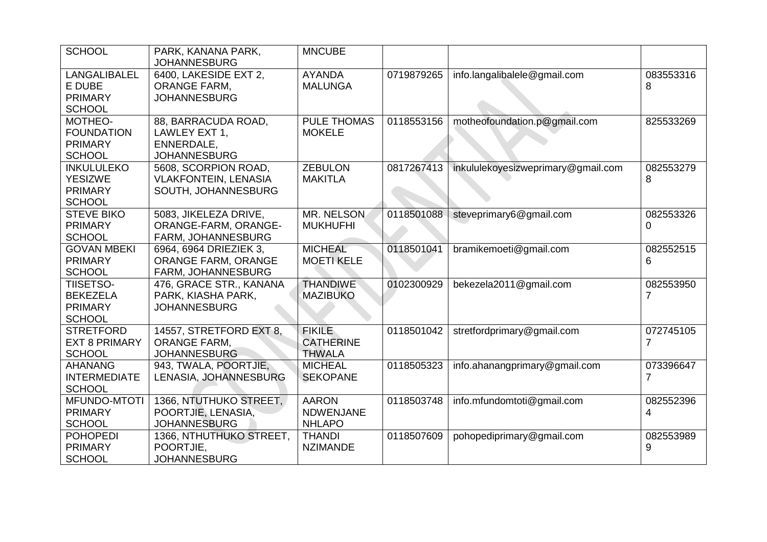| <b>SCHOOL</b>                                                          | PARK, KANANA PARK,<br><b>JOHANNESBURG</b>                                  | <b>MNCUBE</b>                                      |            |                                    |                |
|------------------------------------------------------------------------|----------------------------------------------------------------------------|----------------------------------------------------|------------|------------------------------------|----------------|
| LANGALIBALEL<br>E DUBE<br><b>PRIMARY</b><br><b>SCHOOL</b>              | 6400, LAKESIDE EXT 2,<br><b>ORANGE FARM,</b><br><b>JOHANNESBURG</b>        | <b>AYANDA</b><br><b>MALUNGA</b>                    | 0719879265 | info.langalibalele@gmail.com       | 083553316<br>8 |
| MOTHEO-<br><b>FOUNDATION</b><br><b>PRIMARY</b><br><b>SCHOOL</b>        | 88, BARRACUDA ROAD,<br>LAWLEY EXT 1,<br>ENNERDALE,<br><b>JOHANNESBURG</b>  | <b>PULE THOMAS</b><br><b>MOKELE</b>                | 0118553156 | motheofoundation.p@gmail.com       | 825533269      |
| <b>INKULULEKO</b><br><b>YESIZWE</b><br><b>PRIMARY</b><br><b>SCHOOL</b> | 5608, SCORPION ROAD,<br><b>VLAKFONTEIN, LENASIA</b><br>SOUTH, JOHANNESBURG | <b>ZEBULON</b><br><b>MAKITLA</b>                   | 0817267413 | inkululekoyesizweprimary@gmail.com | 082553279<br>8 |
| <b>STEVE BIKO</b><br><b>PRIMARY</b><br><b>SCHOOL</b>                   | 5083, JIKELEZA DRIVE,<br>ORANGE-FARM, ORANGE-<br>FARM, JOHANNESBURG        | <b>MR. NELSON</b><br><b>MUKHUFHI</b>               | 0118501088 | steveprimary6@gmail.com            | 082553326<br>0 |
| <b>GOVAN MBEKI</b><br><b>PRIMARY</b><br><b>SCHOOL</b>                  | 6964, 6964 DRIEZIEK 3,<br><b>ORANGE FARM, ORANGE</b><br>FARM, JOHANNESBURG | <b>MICHEAL</b><br><b>MOETI KELE</b>                | 0118501041 | bramikemoeti@gmail.com             | 082552515<br>6 |
| <b>TIISETSO-</b><br><b>BEKEZELA</b><br><b>PRIMARY</b><br><b>SCHOOL</b> | 476, GRACE STR., KANANA<br>PARK, KIASHA PARK,<br><b>JOHANNESBURG</b>       | <b>THANDIWE</b><br><b>MAZIBUKO</b>                 | 0102300929 | bekezela2011@gmail.com             | 082553950<br>7 |
| <b>STRETFORD</b><br><b>EXT 8 PRIMARY</b><br><b>SCHOOL</b>              | 14557, STRETFORD EXT 8,<br><b>ORANGE FARM.</b><br><b>JOHANNESBURG</b>      | <b>FIKILE</b><br><b>CATHERINE</b><br><b>THWALA</b> | 0118501042 | stretfordprimary@gmail.com         | 072745105<br>7 |
| <b>AHANANG</b><br><b>INTERMEDIATE</b><br><b>SCHOOL</b>                 | 943, TWALA, POORTJIE,<br>LENASIA, JOHANNESBURG                             | <b>MICHEAL</b><br><b>SEKOPANE</b>                  | 0118505323 | info.ahanangprimary@gmail.com      | 073396647<br>7 |
| MFUNDO-MTOTI<br><b>PRIMARY</b><br><b>SCHOOL</b>                        | 1366, NTUTHUKO STREET,<br>POORTJIE, LENASIA,<br><b>JOHANNESBURG</b>        | <b>AARON</b><br><b>NDWENJANE</b><br><b>NHLAPO</b>  | 0118503748 | info.mfundomtoti@gmail.com         | 082552396<br>4 |
| <b>POHOPEDI</b><br><b>PRIMARY</b><br><b>SCHOOL</b>                     | 1366, NTHUTHUKO STREET,<br>POORTJIE,<br><b>JOHANNESBURG</b>                | <b>THANDI</b><br><b>NZIMANDE</b>                   | 0118507609 | pohopediprimary@gmail.com          | 082553989<br>9 |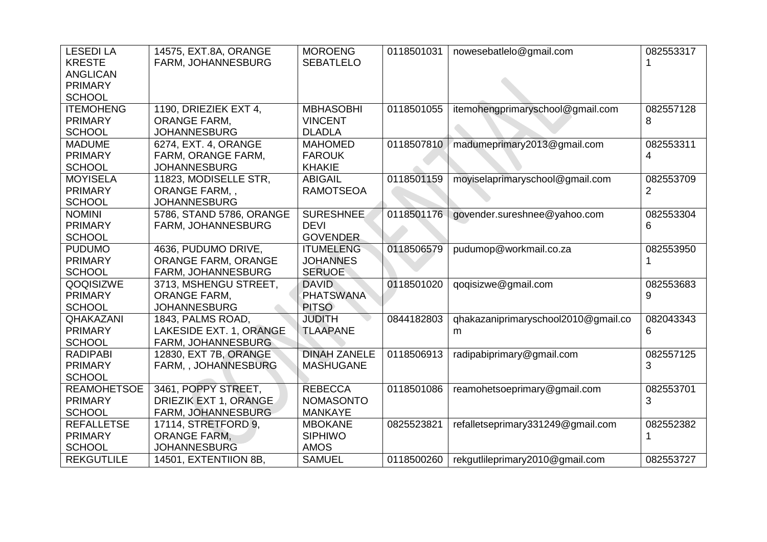| <b>LESEDI LA</b><br><b>KRESTE</b><br><b>ANGLICAN</b><br><b>PRIMARY</b><br><b>SCHOOL</b> | 14575, EXT.8A, ORANGE<br>FARM, JOHANNESBURG | <b>MOROENG</b><br><b>SEBATLELO</b> | 0118501031 | nowesebatlelo@gmail.com             | 082553317 |
|-----------------------------------------------------------------------------------------|---------------------------------------------|------------------------------------|------------|-------------------------------------|-----------|
| <b>ITEMOHENG</b>                                                                        | 1190, DRIEZIEK EXT 4,                       | <b>MBHASOBHI</b>                   | 0118501055 | itemohengprimaryschool@gmail.com    | 082557128 |
| <b>PRIMARY</b>                                                                          | <b>ORANGE FARM,</b>                         | <b>VINCENT</b>                     |            |                                     | 8         |
| <b>SCHOOL</b>                                                                           | <b>JOHANNESBURG</b>                         | <b>DLADLA</b>                      |            |                                     |           |
| <b>MADUME</b>                                                                           | 6274, EXT. 4, ORANGE                        | <b>MAHOMED</b>                     | 0118507810 | madumeprimary2013@gmail.com         | 082553311 |
| <b>PRIMARY</b>                                                                          | FARM, ORANGE FARM,                          | <b>FAROUK</b>                      |            |                                     | 4         |
| <b>SCHOOL</b>                                                                           | <b>JOHANNESBURG</b>                         | <b>KHAKIE</b>                      |            |                                     |           |
| <b>MOYISELA</b>                                                                         | 11823, MODISELLE STR,                       | <b>ABIGAIL</b>                     | 0118501159 | moyiselaprimaryschool@gmail.com     | 082553709 |
| <b>PRIMARY</b>                                                                          | ORANGE FARM,,                               | <b>RAMOTSEOA</b>                   |            |                                     | 2         |
| <b>SCHOOL</b>                                                                           | <b>JOHANNESBURG</b>                         |                                    |            |                                     |           |
| <b>NOMINI</b>                                                                           | 5786, STAND 5786, ORANGE                    | <b>SURESHNEE</b>                   | 0118501176 | govender.sureshnee@yahoo.com        | 082553304 |
| <b>PRIMARY</b>                                                                          | FARM, JOHANNESBURG                          | <b>DEVI</b>                        |            |                                     | 6         |
| <b>SCHOOL</b>                                                                           |                                             | <b>GOVENDER</b>                    |            |                                     |           |
| <b>PUDUMO</b>                                                                           | 4636, PUDUMO DRIVE,                         | <b>ITUMELENG</b>                   | 0118506579 | pudumop@workmail.co.za              | 082553950 |
| <b>PRIMARY</b>                                                                          | ORANGE FARM, ORANGE                         | <b>JOHANNES</b>                    |            |                                     |           |
| <b>SCHOOL</b>                                                                           | FARM, JOHANNESBURG                          | <b>SERUOE</b>                      |            |                                     |           |
| QOQISIZWE                                                                               | 3713, MSHENGU STREET,                       | <b>DAVID</b>                       | 0118501020 | qoqisizwe@gmail.com                 | 082553683 |
| <b>PRIMARY</b>                                                                          | <b>ORANGE FARM,</b>                         | <b>PHATSWANA</b>                   |            |                                     | 9         |
| <b>SCHOOL</b>                                                                           | <b>JOHANNESBURG</b>                         | <b>PITSO</b>                       |            |                                     |           |
| QHAKAZANI                                                                               | 1843, PALMS ROAD,                           | <b>JUDITH</b>                      | 0844182803 | qhakazaniprimaryschool2010@gmail.co | 082043343 |
| <b>PRIMARY</b>                                                                          | LAKESIDE EXT. 1, ORANGE                     | <b>TLAAPANE</b>                    |            | m                                   | 6         |
| <b>SCHOOL</b>                                                                           | <b>FARM, JOHANNESBURG</b>                   |                                    |            |                                     |           |
| <b>RADIPABI</b>                                                                         | 12830, EXT 7B, ORANGE                       | <b>DINAH ZANELE</b>                | 0118506913 | radipabiprimary@gmail.com           | 082557125 |
| <b>PRIMARY</b>                                                                          | FARM, , JOHANNESBURG                        | <b>MASHUGANE</b>                   |            |                                     | 3         |
| <b>SCHOOL</b>                                                                           |                                             |                                    |            |                                     |           |
| <b>REAMOHETSOE</b>                                                                      | 3461, POPPY STREET,                         | <b>REBECCA</b>                     | 0118501086 | reamohetsoeprimary@gmail.com        | 082553701 |
| <b>PRIMARY</b>                                                                          | <b>DRIEZIK EXT 1, ORANGE</b>                | <b>NOMASONTO</b>                   |            |                                     | 3         |
| <b>SCHOOL</b>                                                                           | FARM, JOHANNESBURG                          | <b>MANKAYE</b>                     |            |                                     |           |
| <b>REFALLETSE</b><br><b>PRIMARY</b>                                                     | 17114, STRETFORD 9,<br><b>ORANGE FARM.</b>  | <b>MBOKANE</b><br><b>SIPHIWO</b>   | 0825523821 | refalletseprimary331249@gmail.com   | 082552382 |
| <b>SCHOOL</b>                                                                           | <b>JOHANNESBURG</b>                         | <b>AMOS</b>                        |            |                                     |           |
| <b>REKGUTLILE</b>                                                                       | 14501, EXTENTIION 8B,                       | <b>SAMUEL</b>                      | 0118500260 | rekgutlileprimary2010@gmail.com     | 082553727 |
|                                                                                         |                                             |                                    |            |                                     |           |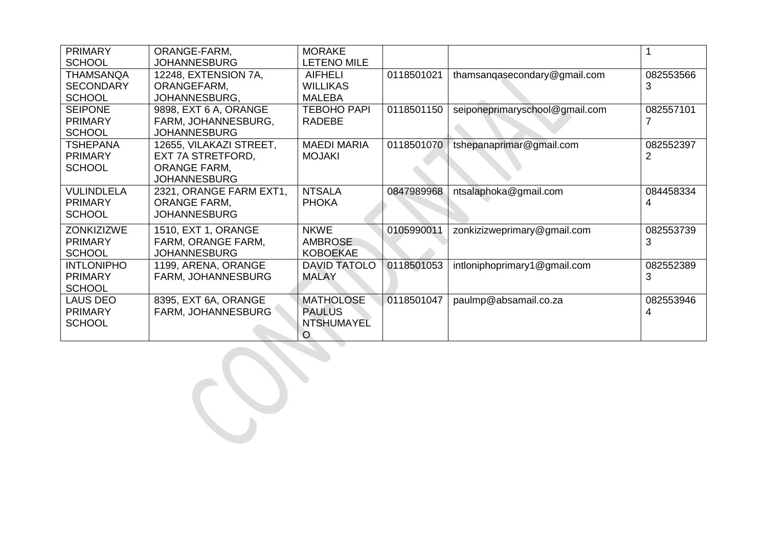| <b>PRIMARY</b>    | ORANGE-FARM,            | <b>MORAKE</b>       |            |                                | 1              |
|-------------------|-------------------------|---------------------|------------|--------------------------------|----------------|
| <b>SCHOOL</b>     | <b>JOHANNESBURG</b>     | <b>LETENO MILE</b>  |            |                                |                |
| <b>THAMSANQA</b>  | 12248, EXTENSION 7A,    | <b>AIFHELI</b>      | 0118501021 | thamsangasecondary@gmail.com   | 082553566      |
| <b>SECONDARY</b>  | ORANGEFARM,             | <b>WILLIKAS</b>     |            |                                | 3              |
| <b>SCHOOL</b>     | JOHANNESBURG,           | <b>MALEBA</b>       |            |                                |                |
| <b>SEIPONE</b>    | 9898, EXT 6 A, ORANGE   | <b>TEBOHO PAPI</b>  | 0118501150 | seiponeprimaryschool@gmail.com | 082557101      |
| <b>PRIMARY</b>    | FARM, JOHANNESBURG,     | <b>RADEBE</b>       |            |                                | 7              |
| <b>SCHOOL</b>     | <b>JOHANNESBURG</b>     |                     |            |                                |                |
| <b>TSHEPANA</b>   | 12655, VILAKAZI STREET, | <b>MAEDI MARIA</b>  | 0118501070 | tshepanaprimar@gmail.com       | 082552397      |
| <b>PRIMARY</b>    | EXT 7A STRETFORD,       | <b>MOJAKI</b>       |            |                                | $\overline{2}$ |
| <b>SCHOOL</b>     | <b>ORANGE FARM,</b>     |                     |            |                                |                |
|                   | <b>JOHANNESBURG</b>     |                     |            |                                |                |
| <b>VULINDLELA</b> | 2321, ORANGE FARM EXT1, | <b>NTSALA</b>       | 0847989968 | ntsalaphoka@gmail.com          | 084458334      |
| <b>PRIMARY</b>    | <b>ORANGE FARM,</b>     | <b>PHOKA</b>        |            |                                | 4              |
| <b>SCHOOL</b>     | <b>JOHANNESBURG</b>     |                     |            |                                |                |
| <b>ZONKIZIZWE</b> | 1510, EXT 1, ORANGE     | <b>NKWE</b>         | 0105990011 | zonkizizweprimary@gmail.com    | 082553739      |
| <b>PRIMARY</b>    | FARM, ORANGE FARM,      | <b>AMBROSE</b>      |            |                                | 3              |
| <b>SCHOOL</b>     | <b>JOHANNESBURG</b>     | <b>KOBOEKAE</b>     |            |                                |                |
| <b>INTLONIPHO</b> | 1199, ARENA, ORANGE     | <b>DAVID TATOLO</b> | 0118501053 | intloniphoprimary1@gmail.com   | 082552389      |
| <b>PRIMARY</b>    | FARM, JOHANNESBURG      | <b>MALAY</b>        |            |                                | 3              |
| <b>SCHOOL</b>     |                         |                     |            |                                |                |
| <b>LAUS DEO</b>   | 8395, EXT 6A, ORANGE    | <b>MATHOLOSE</b>    | 0118501047 | paulmp@absamail.co.za          | 082553946      |
| <b>PRIMARY</b>    | FARM, JOHANNESBURG      | <b>PAULUS</b>       |            |                                | 4              |
| <b>SCHOOL</b>     |                         | NTSHUMAYEL          |            |                                |                |
|                   |                         | $\circ$             |            |                                |                |
|                   |                         |                     |            |                                |                |
|                   |                         |                     |            |                                |                |
|                   |                         |                     |            |                                |                |
|                   |                         |                     |            |                                |                |
|                   |                         |                     |            |                                |                |
|                   |                         |                     |            |                                |                |
|                   |                         |                     |            |                                |                |
|                   |                         |                     |            |                                |                |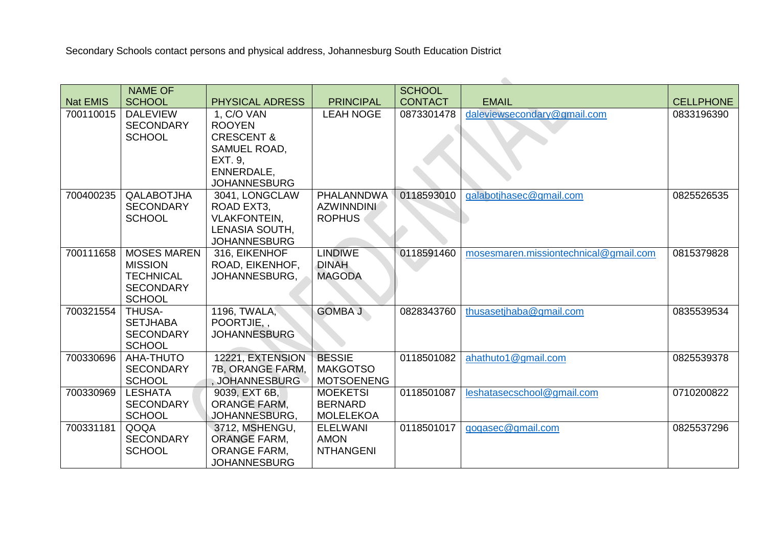Secondary Schools contact persons and physical address, Johannesburg South Education District

|                 | <b>NAME OF</b>                    |                                 |                   | <b>SCHOOL</b>  |                                       |                  |
|-----------------|-----------------------------------|---------------------------------|-------------------|----------------|---------------------------------------|------------------|
| <b>Nat EMIS</b> | <b>SCHOOL</b>                     | <b>PHYSICAL ADRESS</b>          | <b>PRINCIPAL</b>  | <b>CONTACT</b> | <b>EMAIL</b>                          | <b>CELLPHONE</b> |
| 700110015       | <b>DALEVIEW</b>                   | 1, C/O VAN                      | <b>LEAH NOGE</b>  | 0873301478     | daleviewsecondary@gmail.com           | 0833196390       |
|                 | <b>SECONDARY</b>                  | <b>ROOYEN</b>                   |                   |                |                                       |                  |
|                 | <b>SCHOOL</b>                     | <b>CRESCENT &amp;</b>           |                   |                |                                       |                  |
|                 |                                   | SAMUEL ROAD,                    |                   |                |                                       |                  |
|                 |                                   | EXT. 9,                         |                   |                |                                       |                  |
|                 |                                   | ENNERDALE,                      |                   |                |                                       |                  |
|                 |                                   | <b>JOHANNESBURG</b>             |                   |                |                                       |                  |
| 700400235       | QALABOTJHA                        | 3041, LONGCLAW                  | <b>PHALANNDWA</b> | 0118593010     | qalabotjhasec@gmail.com               | 0825526535       |
|                 | <b>SECONDARY</b>                  | ROAD EXT3,                      | <b>AZWINNDINI</b> |                |                                       |                  |
|                 | <b>SCHOOL</b>                     | <b>VLAKFONTEIN,</b>             | <b>ROPHUS</b>     |                |                                       |                  |
|                 |                                   | LENASIA SOUTH,                  |                   |                |                                       |                  |
|                 |                                   | <b>JOHANNESBURG</b>             |                   |                |                                       |                  |
| 700111658       | <b>MOSES MAREN</b>                | 316, EIKENHOF                   | <b>LINDIWE</b>    | 0118591460     | mosesmaren.missiontechnical@gmail.com | 0815379828       |
|                 | <b>MISSION</b>                    | ROAD, EIKENHOF,                 | <b>DINAH</b>      |                |                                       |                  |
|                 | <b>TECHNICAL</b>                  | JOHANNESBURG,                   | <b>MAGODA</b>     |                |                                       |                  |
|                 | <b>SECONDARY</b>                  |                                 |                   |                |                                       |                  |
|                 | <b>SCHOOL</b>                     |                                 |                   |                |                                       |                  |
| 700321554       | <b>THUSA-</b>                     | 1196, TWALA,                    | <b>GOMBA J</b>    | 0828343760     | thusasetjhaba@gmail.com               | 0835539534       |
|                 | <b>SETJHABA</b>                   | POORTJIE<br><b>JOHANNESBURG</b> |                   |                |                                       |                  |
|                 | <b>SECONDARY</b><br><b>SCHOOL</b> |                                 |                   |                |                                       |                  |
| 700330696       | AHA-THUTO                         | 12221, EXTENSION                | <b>BESSIE</b>     | 0118501082     | ahathuto1@gmail.com                   | 0825539378       |
|                 | <b>SECONDARY</b>                  | 7B, ORANGE FARM,                | <b>MAKGOTSO</b>   |                |                                       |                  |
|                 | <b>SCHOOL</b>                     | <b>JOHANNESBURG</b>             | <b>MOTSOENENG</b> |                |                                       |                  |
| 700330969       | <b>LESHATA</b>                    | 9039, EXT 6B,                   | <b>MOEKETSI</b>   | 0118501087     | leshatasecschool@gmail.com            | 0710200822       |
|                 | <b>SECONDARY</b>                  | <b>ORANGE FARM,</b>             | <b>BERNARD</b>    |                |                                       |                  |
|                 | <b>SCHOOL</b>                     | JOHANNESBURG,                   | <b>MOLELEKOA</b>  |                |                                       |                  |
| 700331181       | QOQA                              | 3712, MSHENGU,                  | <b>ELELWANI</b>   | 0118501017     | qoqasec@qmail.com                     | 0825537296       |
|                 | <b>SECONDARY</b>                  | <b>ORANGE FARM,</b>             | <b>AMON</b>       |                |                                       |                  |
|                 | <b>SCHOOL</b>                     | <b>ORANGE FARM,</b>             | <b>NTHANGENI</b>  |                |                                       |                  |
|                 |                                   | <b>JOHANNESBURG</b>             |                   |                |                                       |                  |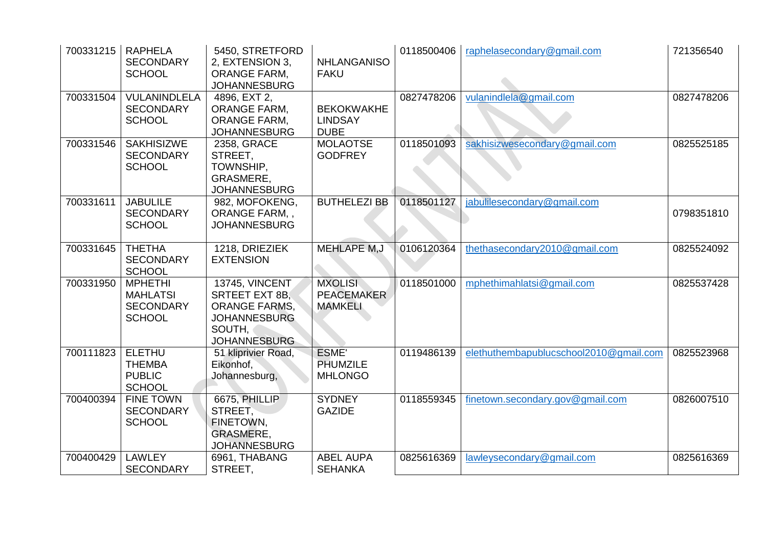| 700331215 | <b>RAPHELA</b><br><b>SECONDARY</b><br><b>SCHOOL</b>                    | 5450, STRETFORD<br>2, EXTENSION 3,<br><b>ORANGE FARM,</b><br><b>JOHANNESBURG</b>                                        | <b>NHLANGANISO</b><br><b>FAKU</b>                     | 0118500406 | raphelasecondary@gmail.com             | 721356540  |
|-----------|------------------------------------------------------------------------|-------------------------------------------------------------------------------------------------------------------------|-------------------------------------------------------|------------|----------------------------------------|------------|
| 700331504 | <b>VULANINDLELA</b><br><b>SECONDARY</b><br><b>SCHOOL</b>               | 4896, EXT 2,<br><b>ORANGE FARM,</b><br><b>ORANGE FARM,</b><br><b>JOHANNESBURG</b>                                       | <b>BEKOKWAKHE</b><br><b>LINDSAY</b><br><b>DUBE</b>    | 0827478206 | vulanindlela@gmail.com                 | 0827478206 |
| 700331546 | <b>SAKHISIZWE</b><br><b>SECONDARY</b><br><b>SCHOOL</b>                 | 2358, GRACE<br>STREET,<br>TOWNSHIP,<br>GRASMERE,<br><b>JOHANNESBURG</b>                                                 | <b>MOLAOTSE</b><br><b>GODFREY</b>                     | 0118501093 | sakhisizwesecondary@gmail.com          | 0825525185 |
| 700331611 | <b>JABULILE</b><br><b>SECONDARY</b><br><b>SCHOOL</b>                   | 982, MOFOKENG,<br><b>ORANGE FARM,,</b><br><b>JOHANNESBURG</b>                                                           | <b>BUTHELEZI BB</b>                                   | 0118501127 | jabulilesecondary@gmail.com            | 0798351810 |
| 700331645 | <b>THETHA</b><br><b>SECONDARY</b><br><b>SCHOOL</b>                     | 1218, DRIEZIEK<br><b>EXTENSION</b>                                                                                      | <b>MEHLAPE M,J</b>                                    | 0106120364 | thethasecondary2010@gmail.com          | 0825524092 |
| 700331950 | <b>MPHETHI</b><br><b>MAHLATSI</b><br><b>SECONDARY</b><br><b>SCHOOL</b> | 13745, VINCENT<br><b>SRTEET EXT 8B.</b><br><b>ORANGE FARMS.</b><br><b>JOHANNESBURG</b><br>SOUTH,<br><b>JOHANNESBURG</b> | <b>MXOLISI</b><br><b>PEACEMAKER</b><br><b>MAMKELI</b> | 0118501000 | mphethimahlatsi@gmail.com              | 0825537428 |
| 700111823 | <b>ELETHU</b><br><b>THEMBA</b><br><b>PUBLIC</b><br><b>SCHOOL</b>       | 51 kliprivier Road,<br>Eikonhof,<br>Johannesburg,                                                                       | ESME'<br>PHUMZILE<br><b>MHLONGO</b>                   | 0119486139 | elethuthembapublucschool2010@gmail.com | 0825523968 |
| 700400394 | <b>FINE TOWN</b><br><b>SECONDARY</b><br><b>SCHOOL</b>                  | 6675, PHILLIP<br>STREET,<br>FINETOWN,<br><b>GRASMERE,</b><br><b>JOHANNESBURG</b>                                        | <b>SYDNEY</b><br><b>GAZIDE</b>                        | 0118559345 | finetown.secondary.gov@gmail.com       | 0826007510 |
| 700400429 | <b>LAWLEY</b><br><b>SECONDARY</b>                                      | 6961, THABANG<br>STREET,                                                                                                | <b>ABEL AUPA</b><br><b>SEHANKA</b>                    | 0825616369 | lawleysecondary@gmail.com              | 0825616369 |